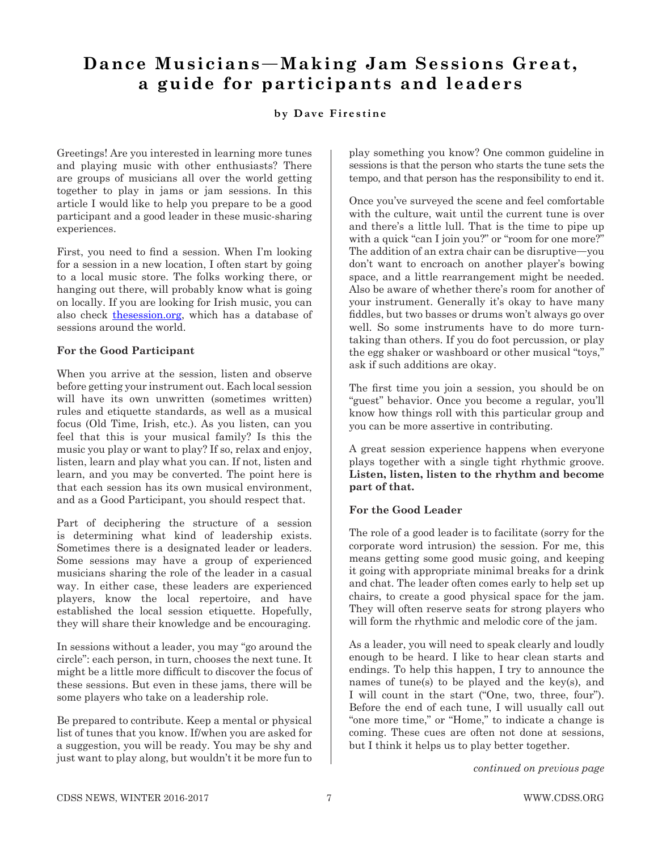# **Dance Musicians**—**Making Jam Sessions Great, a guide for participants and leaders**

## **by Dave Firestine**

Greetings! Are you interested in learning more tunes and playing music with other enthusiasts? There are groups of musicians all over the world getting together to play in jams or jam sessions. In this article I would like to help you prepare to be a good participant and a good leader in these music-sharing experiences.

First, you need to find a session. When I'm looking for a session in a new location, I often start by going to a local music store. The folks working there, or hanging out there, will probably know what is going on locally. If you are looking for Irish music, you can also check thesession.org, which has a database of sessions around the world.

## **For the Good Participant**

When you arrive at the session, listen and observe before getting your instrument out. Each local session will have its own unwritten (sometimes written) rules and etiquette standards, as well as a musical focus (Old Time, Irish, etc.). As you listen, can you feel that this is your musical family? Is this the music you play or want to play? If so, relax and enjoy, listen, learn and play what you can. If not, listen and learn, and you may be converted. The point here is that each session has its own musical environment, and as a Good Participant, you should respect that.

Part of deciphering the structure of a session is determining what kind of leadership exists. Sometimes there is a designated leader or leaders. Some sessions may have a group of experienced musicians sharing the role of the leader in a casual way. In either case, these leaders are experienced players, know the local repertoire, and have established the local session etiquette. Hopefully, they will share their knowledge and be encouraging.

In sessions without a leader, you may "go around the circle": each person, in turn, chooses the next tune. It might be a little more difficult to discover the focus of these sessions. But even in these jams, there will be some players who take on a leadership role.

Be prepared to contribute. Keep a mental or physical list of tunes that you know. If/when you are asked for a suggestion, you will be ready. You may be shy and just want to play along, but wouldn't it be more fun to

play something you know? One common guideline in sessions is that the person who starts the tune sets the tempo, and that person has the responsibility to end it.

Once you've surveyed the scene and feel comfortable with the culture, wait until the current tune is over and there's a little lull. That is the time to pipe up with a quick "can I join you?" or "room for one more?" The addition of an extra chair can be disruptive—you don't want to encroach on another player's bowing space, and a little rearrangement might be needed. Also be aware of whether there's room for another of your instrument. Generally it's okay to have many fiddles, but two basses or drums won't always go over well. So some instruments have to do more turntaking than others. If you do foot percussion, or play the egg shaker or washboard or other musical "toys," ask if such additions are okay.

The first time you join a session, you should be on "guest" behavior. Once you become a regular, you'll know how things roll with this particular group and you can be more assertive in contributing.

A great session experience happens when everyone plays together with a single tight rhythmic groove. **Listen, listen, listen to the rhythm and become part of that.**

## **For the Good Leader**

The role of a good leader is to facilitate (sorry for the corporate word intrusion) the session. For me, this means getting some good music going, and keeping it going with appropriate minimal breaks for a drink and chat. The leader often comes early to help set up chairs, to create a good physical space for the jam. They will often reserve seats for strong players who will form the rhythmic and melodic core of the jam.

As a leader, you will need to speak clearly and loudly enough to be heard. I like to hear clean starts and endings. To help this happen, I try to announce the names of tune(s) to be played and the key(s), and I will count in the start ("One, two, three, four"). Before the end of each tune, I will usually call out "one more time," or "Home," to indicate a change is coming. These cues are often not done at sessions, but I think it helps us to play better together.

*continued on previous page*